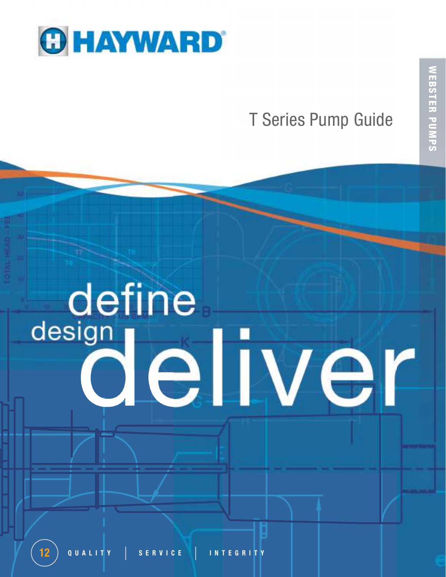

# T Series Pump Guide

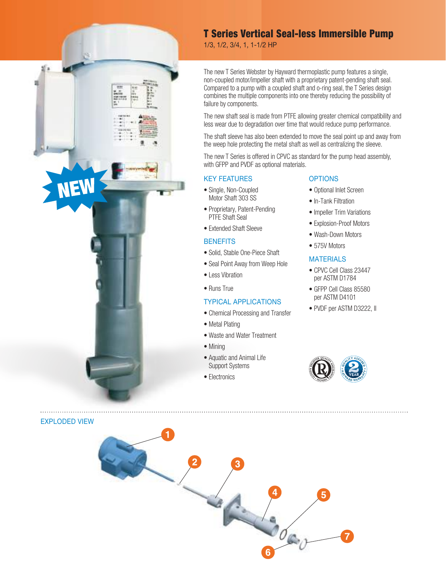

1/3, 1/2, 3/4, 1, 1-1/2 Hp

The new T Series Webster by Hayward thermoplastic pump features a single, non-coupled motor/impeller shaft with a proprietary patent-pending shaft seal. Compared to a pump with a coupled shaft and o-ring seal, the T Series design combines the multiple components into one thereby reducing the possibility of failure by components.

The new shaft seal is made from PTFE allowing greater chemical compatibility and less wear due to degradation over time that would reduce pump performance.

The shaft sleeve has also been extended to move the seal point up and away from the weep hole protecting the metal shaft as well as centralizing the sleeve.

The new T Series is offered in CPVC as standard for the pump head assembly, with GFPP and PVDF as optional materials.

#### KEY FEATuRES

- Single, Non-Coupled Motor Shaft 303 SS
- Proprietary, Patent-Pending PTFE Shaft Seal
- Extended Shaft Sleeve

#### **BENEFITS**

- Solid, Stable One-Piece Shaft
- Seal Point Away from Weep Hole
- Less Vibration
- Runs True

#### TYpiCAl AppliCATiONS

- Chemical Processing and Transfer
- Metal Plating
- Waste and Water Treatment
- Mining
- Aquatic and Animal Life Support Systems
- Electronics

#### **OPTIONS**

- Optional Inlet Screen
- In-Tank Filtration
- Impeller Trim Variations
- Explosion-Proof Motors
- Wash-Down Motors
- 575V Motors

#### **MATERIALS**

- CPVC Cell Class 23447 per ASTM D1784
- GFPP Cell Class 85580 per ASTM D4101
- PVDF per ASTM D3222, II



EXplODED ViEW

NEW

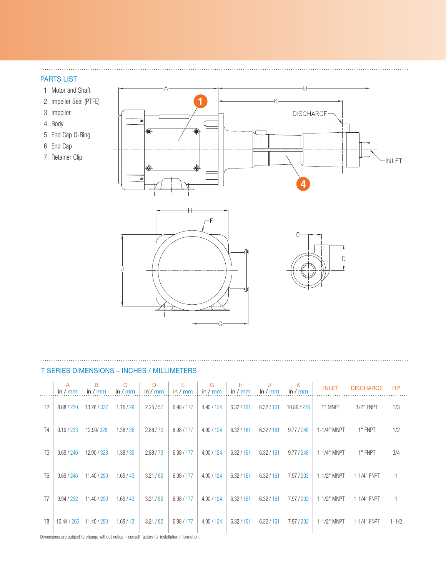#### PARTS LIST

 $\ldots$  .

- 1. Motor and Shaft
- 2. Impeller Seal (PTFE)
- 3. Impeller
- 4. Body
- 5. End Cap O-Ring
- 6. End Cap
- 7. Retainer Clip



#### T Series Dimensions – Inches / Millimeters

|                | $\overline{A}$<br>in / $mm$ | B<br>in $\sqrt{mn}$ | C<br>in $/mm$ | D<br>in / $mm$ | E<br>in $/mm$ | G<br>in $\sqrt{mm}$ | Н<br>in $/mm$ | J<br>in $\sqrt{mm}$ | K<br>in $/mm$ | <b>INLET</b> | <b>DISCHARGE</b> | <b>HP</b> |
|----------------|-----------------------------|---------------------|---------------|----------------|---------------|---------------------|---------------|---------------------|---------------|--------------|------------------|-----------|
| T <sub>2</sub> | 8.68 / 220                  | 13.28 / 337         | 1.16 / 29     | 2.25/57        | 6.98 / 177    | 4.90 / 124          | 6.32 / 161    | 6.32 / 161          | 10.86 / 276   | 1" MNPT      | $1/2"$ FNPT      | 1/3       |
| T4             | 9.19 / 233                  | 12.90/328           | 1.38 / 35     | 2.88 / 70      | 6.98 / 177    | 4.90 / 124          | 6.32 / 161    | 6.32 / 161          | 9.77 / 248    | 1-1/4" MNPT  | 1" FNPT          | 1/2       |
| T <sub>5</sub> | 9.69 / 246                  | 12.90 / 328         | 1.38 / 35     | 2.88 / 73      | 6.98 / 177    | 4.90 / 124          | 6.32 / 161    | 6.32 / 161          | 9.77 / 248    | 1-1/4" MNPT  | 1" FNPT          | 3/4       |
| T <sub>6</sub> | 9.69 / 246                  | 11.40 / 290         | 1.69/43       | 3.21/82        | 6.98/177      | 4.90 / 124          | 6.32 / 161    | 6.32 / 161          | 7.97 / 202    | 1-1/2" MNPT  | 1-1/4" FNPT      |           |
| T7             | 9.94 / 252                  | 11.40 / 290         | 1.69/43       | 3.21 / 82      | 6.98/177      | 4.90 / 124          | 6.32 / 161    | 6.32 / 161          | 7.97 / 202    | 1-1/2" MNPT  | 1-1/4" FNPT      |           |
| T <sub>8</sub> | 10.44 / 265                 | 11.40 / 290         | 1.69/43       | 3.21 / 82      | 6.98 / 177    | 4.90 / 124          | 6.32 / 161    | 6.32 / 161          | 7.97 / 202    | 1-1/2" MNPT  | 1-1/4" FNPT      | $1 - 1/2$ |

Dimensions are subject to change without notice – consult factory for installation information.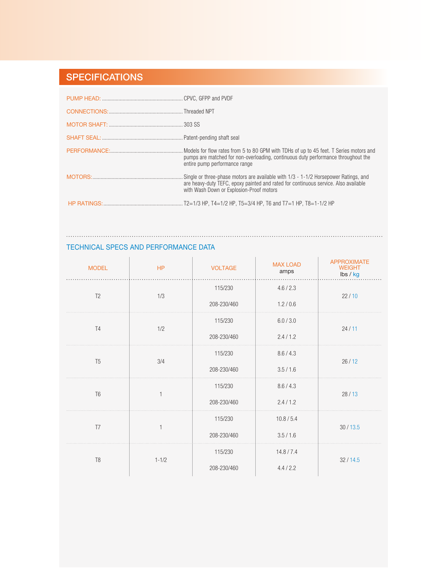# **SPECIFICATIONS**

 $\ddotsc$ 

| pumps are matched for non-overloading, continuous duty performance throughout the<br>entire pump performance range              |
|---------------------------------------------------------------------------------------------------------------------------------|
| are heavy-duty TEFC, epoxy painted and rated for continuous service. Also available<br>with Wash Down or Explosion-Proof motors |
|                                                                                                                                 |

#### Technical Specs and Performance Data

| <b>MODEL</b>   | HP        | <b>VOLTAGE</b> | <b>MAX LOAD</b><br>amps | <b>APPROXIMATE</b><br><b>WEIGHT</b><br>lbs / kg |  |
|----------------|-----------|----------------|-------------------------|-------------------------------------------------|--|
|                |           | 115/230        | 4.6 / 2.3               |                                                 |  |
| T <sub>2</sub> | 1/3       | 208-230/460    | 1.2/0.6                 | 22/10                                           |  |
| T <sub>4</sub> | 1/2       | 115/230        | 6.0 / 3.0               | 24/11                                           |  |
|                |           | 208-230/460    | 2.4/1.2                 |                                                 |  |
| T <sub>5</sub> |           | 115/230        | 8.6 / 4.3               |                                                 |  |
|                | 3/4       | 208-230/460    | 3.5/1.6                 | 26/12                                           |  |
| T <sub>6</sub> |           | 115/230        | 8.6 / 4.3               | 28/13                                           |  |
|                |           | 208-230/460    | 2.4/1.2                 |                                                 |  |
| T <sub>7</sub> |           | 115/230        | 10.8 / 5.4              | 30/13.5                                         |  |
|                |           | 208-230/460    | 3.5/1.6                 |                                                 |  |
|                |           | 115/230        | 14.8 / 7.4              |                                                 |  |
| T <sub>8</sub> | $1 - 1/2$ | 208-230/460    | 4.4 / 2.2               | 32/14.5                                         |  |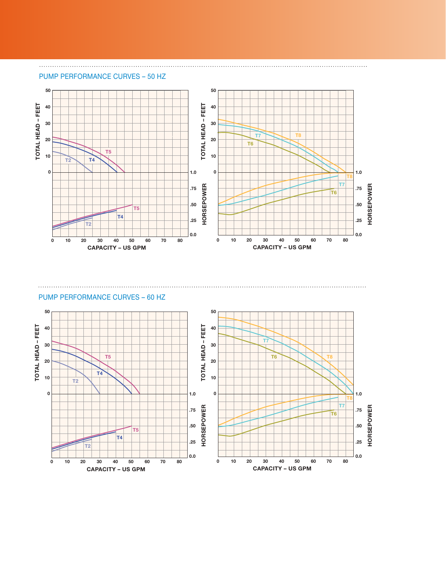#### pump PERFORMANCE CURVES – 50 Hz



#### pump PERFORMANCE CURVES – 60 Hz